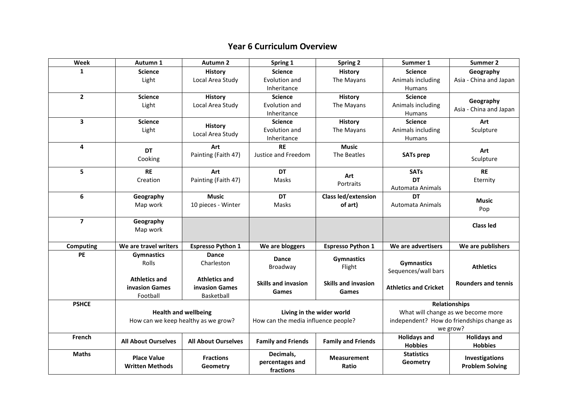## **Year 6 Curriculum Overview**

| Week           | Autumn 1                                                           | <b>Autumn 2</b>              | Spring 1                                                         | <b>Spring 2</b>             | Summer 1                                                   | Summer 2                   |
|----------------|--------------------------------------------------------------------|------------------------------|------------------------------------------------------------------|-----------------------------|------------------------------------------------------------|----------------------------|
| 1              | <b>Science</b>                                                     | <b>History</b>               | <b>Science</b>                                                   | <b>History</b>              | <b>Science</b>                                             | Geography                  |
|                | Light                                                              | Local Area Study             | Evolution and                                                    | The Mayans                  | Animals including                                          | Asia - China and Japan     |
|                |                                                                    |                              | Inheritance                                                      |                             | Humans                                                     |                            |
| $\mathbf{2}$   | <b>Science</b>                                                     | <b>History</b>               | <b>Science</b>                                                   | <b>History</b>              | <b>Science</b>                                             | Geography                  |
|                | Light                                                              | Local Area Study             | Evolution and                                                    | The Mayans                  | Animals including                                          | Asia - China and Japan     |
|                |                                                                    |                              | Inheritance                                                      |                             | Humans                                                     |                            |
| 3              | <b>Science</b>                                                     | <b>History</b>               | <b>Science</b>                                                   | <b>History</b>              | <b>Science</b>                                             | Art                        |
|                | Light                                                              | Local Area Study             | Evolution and                                                    | The Mayans                  | Animals including                                          | Sculpture                  |
|                |                                                                    |                              | Inheritance                                                      |                             | Humans                                                     |                            |
| 4              | <b>DT</b>                                                          | Art                          | <b>RE</b>                                                        | <b>Music</b>                |                                                            | Art                        |
|                | Cooking                                                            | Painting (Faith 47)          | Justice and Freedom                                              | The Beatles                 | <b>SATs prep</b>                                           | Sculpture                  |
| 5              | <b>RE</b>                                                          | Art                          | <b>DT</b>                                                        |                             | <b>SATs</b>                                                | <b>RE</b>                  |
|                | Creation                                                           | Painting (Faith 47)          | Masks                                                            | Art                         | <b>DT</b>                                                  |                            |
|                |                                                                    |                              |                                                                  | Portraits                   | <b>Automata Animals</b>                                    | Eternity                   |
| 6              | Geography                                                          | <b>Music</b>                 | DT                                                               | <b>Class led/extension</b>  | <b>DT</b>                                                  |                            |
|                | Map work                                                           | 10 pieces - Winter           | Masks                                                            | of art)                     | Automata Animals                                           | <b>Music</b>               |
|                |                                                                    |                              |                                                                  |                             |                                                            | Pop                        |
| $\overline{7}$ | Geography                                                          |                              |                                                                  |                             |                                                            |                            |
|                | Map work                                                           |                              |                                                                  |                             |                                                            | <b>Class led</b>           |
|                |                                                                    |                              |                                                                  |                             |                                                            |                            |
| Computing      | We are travel writers                                              | <b>Espresso Python 1</b>     | We are bloggers                                                  | <b>Espresso Python 1</b>    | We are advertisers                                         | We are publishers          |
| PE             | <b>Gymnastics</b>                                                  | Dance                        | Dance                                                            | <b>Gymnastics</b>           |                                                            |                            |
|                | Rolls                                                              | Charleston                   | Broadway                                                         | Flight                      | <b>Gymnastics</b>                                          | <b>Athletics</b>           |
|                |                                                                    |                              |                                                                  |                             | Sequences/wall bars                                        |                            |
|                | <b>Athletics and</b>                                               | <b>Athletics and</b>         | <b>Skills and invasion</b>                                       | <b>Skills and invasion</b>  |                                                            | <b>Rounders and tennis</b> |
|                | invasion Games                                                     | <b>invasion Games</b>        | Games                                                            | Games                       | <b>Athletics and Cricket</b>                               |                            |
|                | Football                                                           | Basketball                   |                                                                  |                             |                                                            |                            |
| <b>PSHCE</b>   | <b>Health and wellbeing</b><br>How can we keep healthy as we grow? |                              | Living in the wider world<br>How can the media influence people? |                             | <b>Relationships</b><br>What will change as we become more |                            |
|                |                                                                    |                              |                                                                  |                             | independent? How do friendships change as                  |                            |
|                |                                                                    |                              |                                                                  |                             | we grow?                                                   |                            |
| French         |                                                                    |                              |                                                                  |                             | <b>Holidays and</b>                                        | <b>Holidays and</b>        |
|                | <b>All About Ourselves</b>                                         | <b>All About Ourselves</b>   | <b>Family and Friends</b>                                        | <b>Family and Friends</b>   | <b>Hobbies</b>                                             | <b>Hobbies</b>             |
| <b>Maths</b>   | <b>Place Value</b><br><b>Written Methods</b>                       | <b>Fractions</b><br>Geometry | Decimals,                                                        | <b>Measurement</b><br>Ratio | <b>Statistics</b>                                          |                            |
|                |                                                                    |                              | percentages and<br>fractions                                     |                             | Geometry                                                   | Investigations             |
|                |                                                                    |                              |                                                                  |                             |                                                            | <b>Problem Solving</b>     |